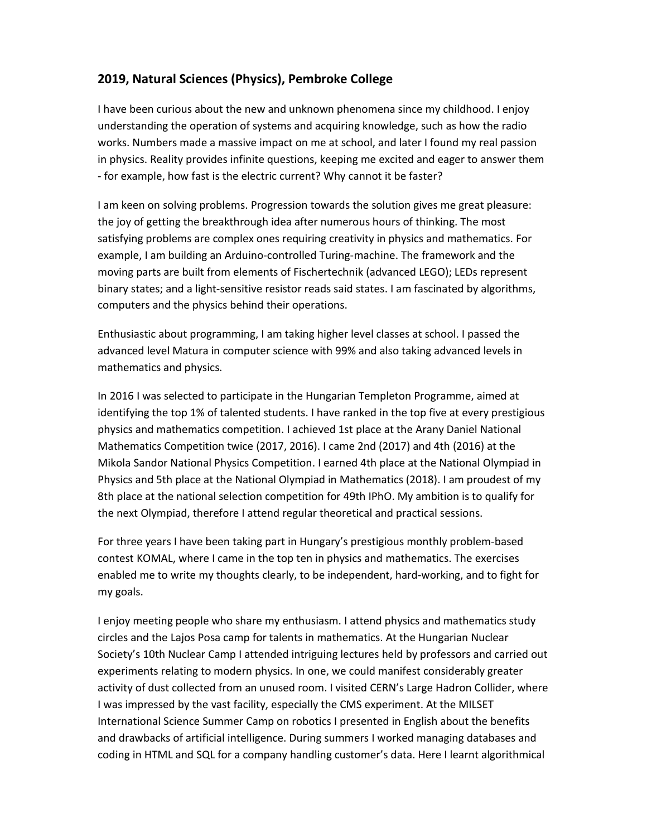## **2019, Natural Sciences (Physics), Pembroke College**

I have been curious about the new and unknown phenomena since my childhood. I enjoy understanding the operation of systems and acquiring knowledge, such as how the radio works. Numbers made a massive impact on me at school, and later I found my real passion in physics. Reality provides infinite questions, keeping me excited and eager to answer them - for example, how fast is the electric current? Why cannot it be faster?

I am keen on solving problems. Progression towards the solution gives me great pleasure: the joy of getting the breakthrough idea after numerous hours of thinking. The most satisfying problems are complex ones requiring creativity in physics and mathematics. For example, I am building an Arduino-controlled Turing-machine. The framework and the moving parts are built from elements of Fischertechnik (advanced LEGO); LEDs represent binary states; and a light-sensitive resistor reads said states. I am fascinated by algorithms, computers and the physics behind their operations.

Enthusiastic about programming, I am taking higher level classes at school. I passed the advanced level Matura in computer science with 99% and also taking advanced levels in mathematics and physics.

In 2016 I was selected to participate in the Hungarian Templeton Programme, aimed at identifying the top 1% of talented students. I have ranked in the top five at every prestigious physics and mathematics competition. I achieved 1st place at the Arany Daniel National Mathematics Competition twice (2017, 2016). I came 2nd (2017) and 4th (2016) at the Mikola Sandor National Physics Competition. I earned 4th place at the National Olympiad in Physics and 5th place at the National Olympiad in Mathematics (2018). I am proudest of my 8th place at the national selection competition for 49th IPhO. My ambition is to qualify for the next Olympiad, therefore I attend regular theoretical and practical sessions.

For three years I have been taking part in Hungary's prestigious monthly problem-based contest KOMAL, where I came in the top ten in physics and mathematics. The exercises enabled me to write my thoughts clearly, to be independent, hard-working, and to fight for my goals.

I enjoy meeting people who share my enthusiasm. I attend physics and mathematics study circles and the Lajos Posa camp for talents in mathematics. At the Hungarian Nuclear Society's 10th Nuclear Camp I attended intriguing lectures held by professors and carried out experiments relating to modern physics. In one, we could manifest considerably greater activity of dust collected from an unused room. I visited CERN's Large Hadron Collider, where I was impressed by the vast facility, especially the CMS experiment. At the MILSET International Science Summer Camp on robotics I presented in English about the benefits and drawbacks of artificial intelligence. During summers I worked managing databases and coding in HTML and SQL for a company handling customer's data. Here I learnt algorithmical